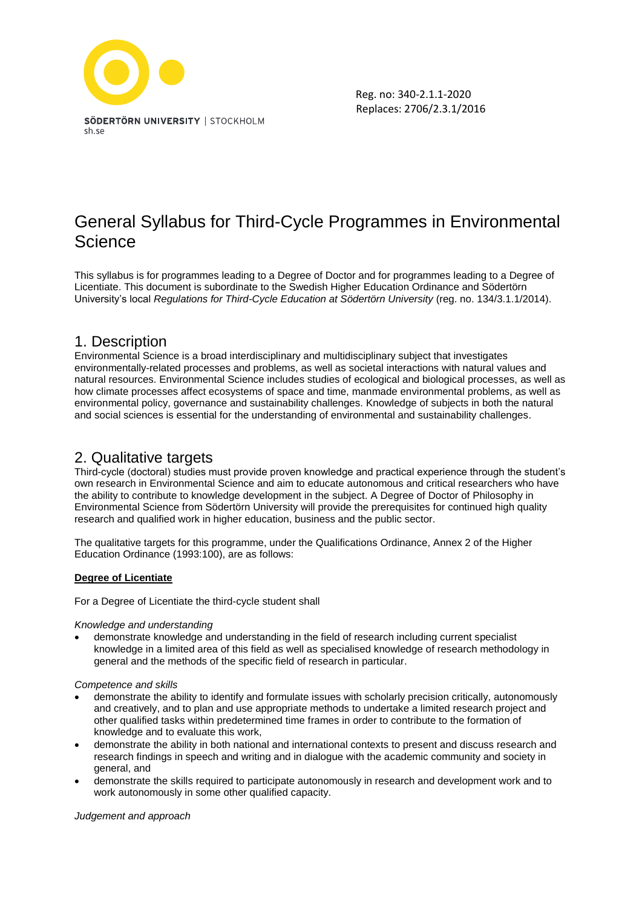

# General Syllabus for Third-Cycle Programmes in Environmental **Science**

This syllabus is for programmes leading to a Degree of Doctor and for programmes leading to a Degree of Licentiate. This document is subordinate to the Swedish Higher Education Ordinance and Södertörn University's local *Regulations for Third-Cycle Education at Södertörn University* (reg. no. 134/3.1.1/2014).

# 1. Description

Environmental Science is a broad interdisciplinary and multidisciplinary subject that investigates environmentally-related processes and problems, as well as societal interactions with natural values and natural resources. Environmental Science includes studies of ecological and biological processes, as well as how climate processes affect ecosystems of space and time, manmade environmental problems, as well as environmental policy, governance and sustainability challenges. Knowledge of subjects in both the natural and social sciences is essential for the understanding of environmental and sustainability challenges.

# 2. Qualitative targets

Third-cycle (doctoral) studies must provide proven knowledge and practical experience through the student's own research in Environmental Science and aim to educate autonomous and critical researchers who have the ability to contribute to knowledge development in the subject. A Degree of Doctor of Philosophy in Environmental Science from Södertörn University will provide the prerequisites for continued high quality research and qualified work in higher education, business and the public sector.

The qualitative targets for this programme, under the Qualifications Ordinance, Annex 2 of the Higher Education Ordinance (1993:100), are as follows:

#### **Degree of Licentiate**

For a Degree of Licentiate the third-cycle student shall

#### *Knowledge and understanding*

• demonstrate knowledge and understanding in the field of research including current specialist knowledge in a limited area of this field as well as specialised knowledge of research methodology in general and the methods of the specific field of research in particular.

#### *Competence and skills*

- demonstrate the ability to identify and formulate issues with scholarly precision critically, autonomously and creatively, and to plan and use appropriate methods to undertake a limited research project and other qualified tasks within predetermined time frames in order to contribute to the formation of knowledge and to evaluate this work,
- demonstrate the ability in both national and international contexts to present and discuss research and research findings in speech and writing and in dialogue with the academic community and society in general, and
- demonstrate the skills required to participate autonomously in research and development work and to work autonomously in some other qualified capacity.

#### *Judgement and approach*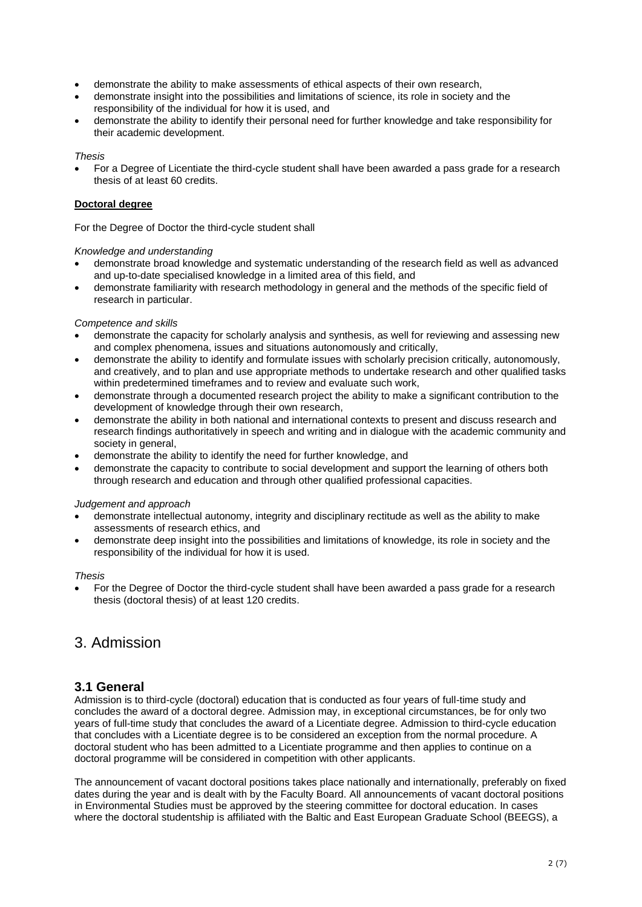- demonstrate the ability to make assessments of ethical aspects of their own research,
- demonstrate insight into the possibilities and limitations of science, its role in society and the responsibility of the individual for how it is used, and
- demonstrate the ability to identify their personal need for further knowledge and take responsibility for their academic development.

#### *Thesis*

• For a Degree of Licentiate the third-cycle student shall have been awarded a pass grade for a research thesis of at least 60 credits.

#### **Doctoral degree**

For the Degree of Doctor the third-cycle student shall

#### *Knowledge and understanding*

- demonstrate broad knowledge and systematic understanding of the research field as well as advanced and up-to-date specialised knowledge in a limited area of this field, and
- demonstrate familiarity with research methodology in general and the methods of the specific field of research in particular.

#### *Competence and skills*

- demonstrate the capacity for scholarly analysis and synthesis, as well for reviewing and assessing new and complex phenomena, issues and situations autonomously and critically,
- demonstrate the ability to identify and formulate issues with scholarly precision critically, autonomously, and creatively, and to plan and use appropriate methods to undertake research and other qualified tasks within predetermined timeframes and to review and evaluate such work,
- demonstrate through a documented research project the ability to make a significant contribution to the development of knowledge through their own research,
- demonstrate the ability in both national and international contexts to present and discuss research and research findings authoritatively in speech and writing and in dialogue with the academic community and society in general.
- demonstrate the ability to identify the need for further knowledge, and
- demonstrate the capacity to contribute to social development and support the learning of others both through research and education and through other qualified professional capacities.

#### *Judgement and approach*

- demonstrate intellectual autonomy, integrity and disciplinary rectitude as well as the ability to make assessments of research ethics, and
- demonstrate deep insight into the possibilities and limitations of knowledge, its role in society and the responsibility of the individual for how it is used.

#### *Thesis*

• For the Degree of Doctor the third-cycle student shall have been awarded a pass grade for a research thesis (doctoral thesis) of at least 120 credits.

# 3. Admission

#### **3.1 General**

Admission is to third-cycle (doctoral) education that is conducted as four years of full-time study and concludes the award of a doctoral degree. Admission may, in exceptional circumstances, be for only two years of full-time study that concludes the award of a Licentiate degree. Admission to third-cycle education that concludes with a Licentiate degree is to be considered an exception from the normal procedure. A doctoral student who has been admitted to a Licentiate programme and then applies to continue on a doctoral programme will be considered in competition with other applicants.

The announcement of vacant doctoral positions takes place nationally and internationally, preferably on fixed dates during the year and is dealt with by the Faculty Board. All announcements of vacant doctoral positions in Environmental Studies must be approved by the steering committee for doctoral education. In cases where the doctoral studentship is affiliated with the Baltic and East European Graduate School (BEEGS), a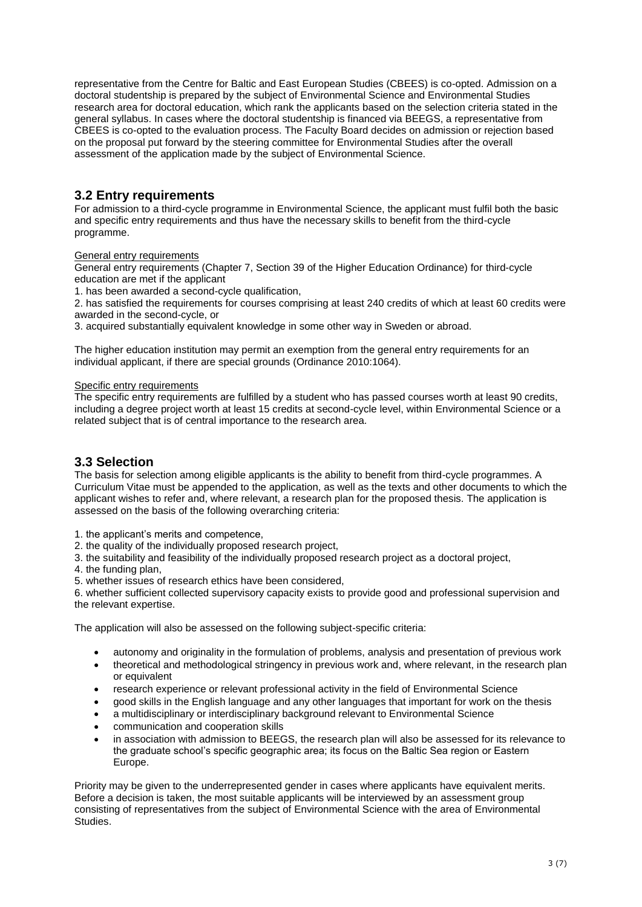representative from the Centre for Baltic and East European Studies (CBEES) is co-opted. Admission on a doctoral studentship is prepared by the subject of Environmental Science and Environmental Studies research area for doctoral education, which rank the applicants based on the selection criteria stated in the general syllabus. In cases where the doctoral studentship is financed via BEEGS, a representative from CBEES is co-opted to the evaluation process. The Faculty Board decides on admission or rejection based on the proposal put forward by the steering committee for Environmental Studies after the overall assessment of the application made by the subject of Environmental Science.

## **3.2 Entry requirements**

For admission to a third-cycle programme in Environmental Science, the applicant must fulfil both the basic and specific entry requirements and thus have the necessary skills to benefit from the third-cycle programme.

#### General entry requirements

General entry requirements (Chapter 7, Section 39 of the Higher Education Ordinance) for third-cycle education are met if the applicant

1. has been awarded a second-cycle qualification,

2. has satisfied the requirements for courses comprising at least 240 credits of which at least 60 credits were awarded in the second-cycle, or

3. acquired substantially equivalent knowledge in some other way in Sweden or abroad.

The higher education institution may permit an exemption from the general entry requirements for an individual applicant, if there are special grounds (Ordinance 2010:1064).

#### Specific entry requirements

The specific entry requirements are fulfilled by a student who has passed courses worth at least 90 credits, including a degree project worth at least 15 credits at second-cycle level, within Environmental Science or a related subject that is of central importance to the research area.

## **3.3 Selection**

The basis for selection among eligible applicants is the ability to benefit from third-cycle programmes. A Curriculum Vitae must be appended to the application, as well as the texts and other documents to which the applicant wishes to refer and, where relevant, a research plan for the proposed thesis. The application is assessed on the basis of the following overarching criteria:

1. the applicant's merits and competence,

2. the quality of the individually proposed research project,

3. the suitability and feasibility of the individually proposed research project as a doctoral project,

4. the funding plan,

5. whether issues of research ethics have been considered,

6. whether sufficient collected supervisory capacity exists to provide good and professional supervision and the relevant expertise.

The application will also be assessed on the following subject-specific criteria:

- autonomy and originality in the formulation of problems, analysis and presentation of previous work
- theoretical and methodological stringency in previous work and, where relevant, in the research plan or equivalent
- research experience or relevant professional activity in the field of Environmental Science
- good skills in the English language and any other languages that important for work on the thesis
- a multidisciplinary or interdisciplinary background relevant to Environmental Science
- communication and cooperation skills
- in association with admission to BEEGS, the research plan will also be assessed for its relevance to the graduate school's specific geographic area; its focus on the Baltic Sea region or Eastern Europe.

Priority may be given to the underrepresented gender in cases where applicants have equivalent merits. Before a decision is taken, the most suitable applicants will be interviewed by an assessment group consisting of representatives from the subject of Environmental Science with the area of Environmental **Studies**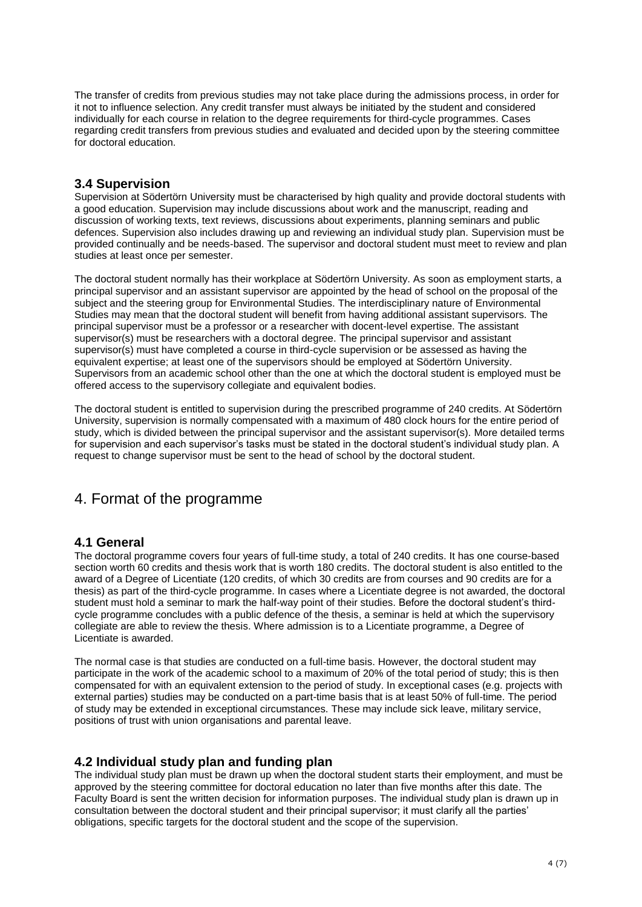The transfer of credits from previous studies may not take place during the admissions process, in order for it not to influence selection. Any credit transfer must always be initiated by the student and considered individually for each course in relation to the degree requirements for third-cycle programmes. Cases regarding credit transfers from previous studies and evaluated and decided upon by the steering committee for doctoral education.

## **3.4 Supervision**

Supervision at Södertörn University must be characterised by high quality and provide doctoral students with a good education. Supervision may include discussions about work and the manuscript, reading and discussion of working texts, text reviews, discussions about experiments, planning seminars and public defences. Supervision also includes drawing up and reviewing an individual study plan. Supervision must be provided continually and be needs-based. The supervisor and doctoral student must meet to review and plan studies at least once per semester.

The doctoral student normally has their workplace at Södertörn University. As soon as employment starts, a principal supervisor and an assistant supervisor are appointed by the head of school on the proposal of the subject and the steering group for Environmental Studies. The interdisciplinary nature of Environmental Studies may mean that the doctoral student will benefit from having additional assistant supervisors. The principal supervisor must be a professor or a researcher with docent-level expertise. The assistant supervisor(s) must be researchers with a doctoral degree. The principal supervisor and assistant supervisor(s) must have completed a course in third-cycle supervision or be assessed as having the equivalent expertise; at least one of the supervisors should be employed at Södertörn University. Supervisors from an academic school other than the one at which the doctoral student is employed must be offered access to the supervisory collegiate and equivalent bodies.

The doctoral student is entitled to supervision during the prescribed programme of 240 credits. At Södertörn University, supervision is normally compensated with a maximum of 480 clock hours for the entire period of study, which is divided between the principal supervisor and the assistant supervisor(s). More detailed terms for supervision and each supervisor's tasks must be stated in the doctoral student's individual study plan. A request to change supervisor must be sent to the head of school by the doctoral student.

# 4. Format of the programme

## **4.1 General**

The doctoral programme covers four years of full-time study, a total of 240 credits. It has one course-based section worth 60 credits and thesis work that is worth 180 credits. The doctoral student is also entitled to the award of a Degree of Licentiate (120 credits, of which 30 credits are from courses and 90 credits are for a thesis) as part of the third-cycle programme. In cases where a Licentiate degree is not awarded, the doctoral student must hold a seminar to mark the half-way point of their studies. Before the doctoral student's thirdcycle programme concludes with a public defence of the thesis, a seminar is held at which the supervisory collegiate are able to review the thesis. Where admission is to a Licentiate programme, a Degree of Licentiate is awarded.

The normal case is that studies are conducted on a full-time basis. However, the doctoral student may participate in the work of the academic school to a maximum of 20% of the total period of study; this is then compensated for with an equivalent extension to the period of study. In exceptional cases (e.g. projects with external parties) studies may be conducted on a part-time basis that is at least 50% of full-time. The period of study may be extended in exceptional circumstances. These may include sick leave, military service, positions of trust with union organisations and parental leave.

## **4.2 Individual study plan and funding plan**

The individual study plan must be drawn up when the doctoral student starts their employment, and must be approved by the steering committee for doctoral education no later than five months after this date. The Faculty Board is sent the written decision for information purposes. The individual study plan is drawn up in consultation between the doctoral student and their principal supervisor; it must clarify all the parties' obligations, specific targets for the doctoral student and the scope of the supervision.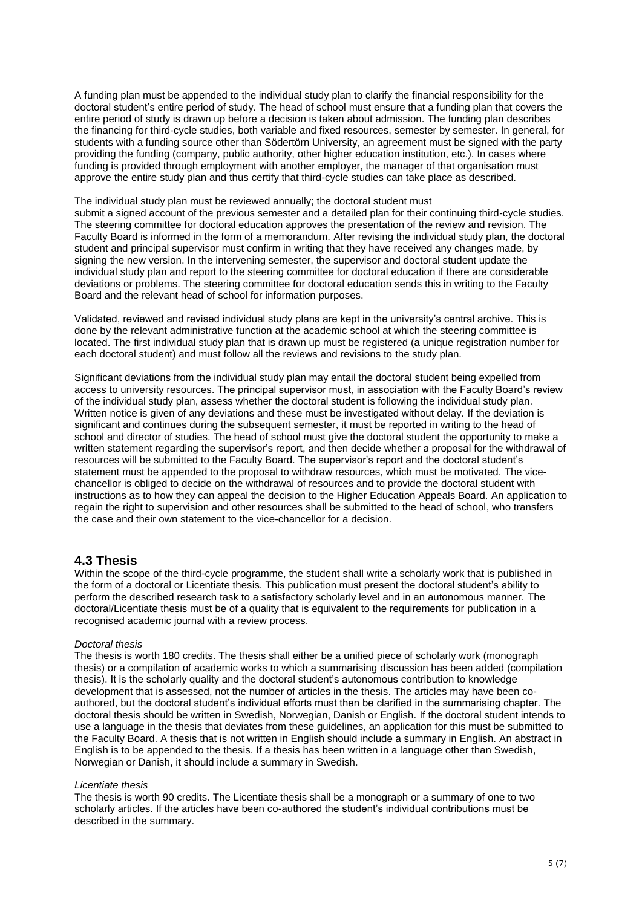A funding plan must be appended to the individual study plan to clarify the financial responsibility for the doctoral student's entire period of study. The head of school must ensure that a funding plan that covers the entire period of study is drawn up before a decision is taken about admission. The funding plan describes the financing for third-cycle studies, both variable and fixed resources, semester by semester. In general, for students with a funding source other than Södertörn University, an agreement must be signed with the party providing the funding (company, public authority, other higher education institution, etc.). In cases where funding is provided through employment with another employer, the manager of that organisation must approve the entire study plan and thus certify that third-cycle studies can take place as described.

The individual study plan must be reviewed annually; the doctoral student must submit a signed account of the previous semester and a detailed plan for their continuing third-cycle studies. The steering committee for doctoral education approves the presentation of the review and revision. The Faculty Board is informed in the form of a memorandum. After revising the individual study plan, the doctoral student and principal supervisor must confirm in writing that they have received any changes made, by signing the new version. In the intervening semester, the supervisor and doctoral student update the individual study plan and report to the steering committee for doctoral education if there are considerable deviations or problems. The steering committee for doctoral education sends this in writing to the Faculty Board and the relevant head of school for information purposes.

Validated, reviewed and revised individual study plans are kept in the university's central archive. This is done by the relevant administrative function at the academic school at which the steering committee is located. The first individual study plan that is drawn up must be registered (a unique registration number for each doctoral student) and must follow all the reviews and revisions to the study plan.

Significant deviations from the individual study plan may entail the doctoral student being expelled from access to university resources. The principal supervisor must, in association with the Faculty Board's review of the individual study plan, assess whether the doctoral student is following the individual study plan. Written notice is given of any deviations and these must be investigated without delay. If the deviation is significant and continues during the subsequent semester, it must be reported in writing to the head of school and director of studies. The head of school must give the doctoral student the opportunity to make a written statement regarding the supervisor's report, and then decide whether a proposal for the withdrawal of resources will be submitted to the Faculty Board. The supervisor's report and the doctoral student's statement must be appended to the proposal to withdraw resources, which must be motivated. The vicechancellor is obliged to decide on the withdrawal of resources and to provide the doctoral student with instructions as to how they can appeal the decision to the Higher Education Appeals Board. An application to regain the right to supervision and other resources shall be submitted to the head of school, who transfers the case and their own statement to the vice-chancellor for a decision.

## **4.3 Thesis**

Within the scope of the third-cycle programme, the student shall write a scholarly work that is published in the form of a doctoral or Licentiate thesis. This publication must present the doctoral student's ability to perform the described research task to a satisfactory scholarly level and in an autonomous manner. The doctoral/Licentiate thesis must be of a quality that is equivalent to the requirements for publication in a recognised academic journal with a review process.

#### *Doctoral thesis*

The thesis is worth 180 credits. The thesis shall either be a unified piece of scholarly work (monograph thesis) or a compilation of academic works to which a summarising discussion has been added (compilation thesis). It is the scholarly quality and the doctoral student's autonomous contribution to knowledge development that is assessed, not the number of articles in the thesis. The articles may have been coauthored, but the doctoral student's individual efforts must then be clarified in the summarising chapter. The doctoral thesis should be written in Swedish, Norwegian, Danish or English. If the doctoral student intends to use a language in the thesis that deviates from these guidelines, an application for this must be submitted to the Faculty Board. A thesis that is not written in English should include a summary in English. An abstract in English is to be appended to the thesis. If a thesis has been written in a language other than Swedish, Norwegian or Danish, it should include a summary in Swedish.

#### *Licentiate thesis*

The thesis is worth 90 credits. The Licentiate thesis shall be a monograph or a summary of one to two scholarly articles. If the articles have been co-authored the student's individual contributions must be described in the summary.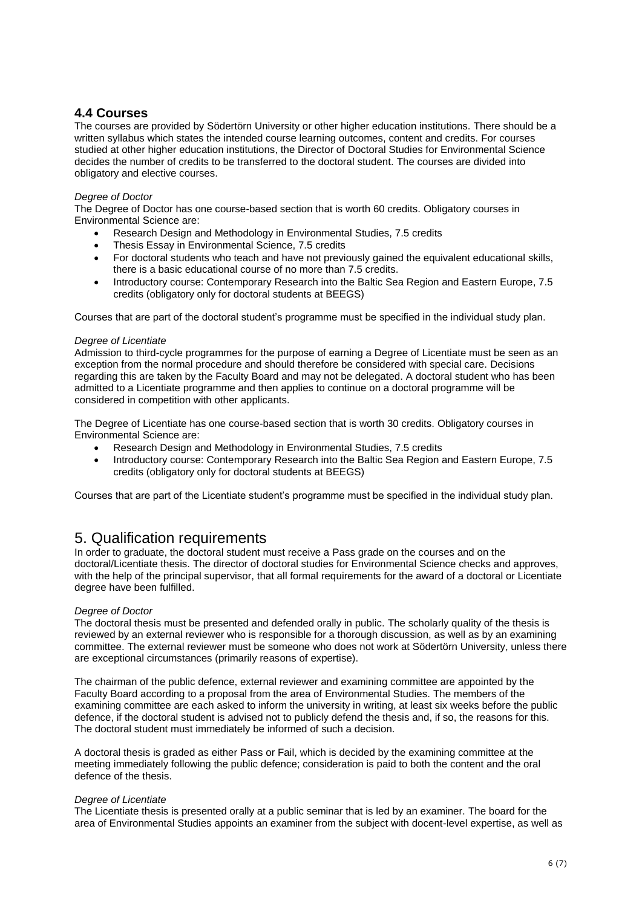## **4.4 Courses**

The courses are provided by Södertörn University or other higher education institutions. There should be a written syllabus which states the intended course learning outcomes, content and credits. For courses studied at other higher education institutions, the Director of Doctoral Studies for Environmental Science decides the number of credits to be transferred to the doctoral student. The courses are divided into obligatory and elective courses.

#### *Degree of Doctor*

The Degree of Doctor has one course-based section that is worth 60 credits. Obligatory courses in Environmental Science are:

- Research Design and Methodology in Environmental Studies, 7.5 credits
- Thesis Essay in Environmental Science, 7.5 credits
- For doctoral students who teach and have not previously gained the equivalent educational skills, there is a basic educational course of no more than 7.5 credits.
- Introductory course: Contemporary Research into the Baltic Sea Region and Eastern Europe, 7.5 credits (obligatory only for doctoral students at BEEGS)

Courses that are part of the doctoral student's programme must be specified in the individual study plan.

#### *Degree of Licentiate*

Admission to third-cycle programmes for the purpose of earning a Degree of Licentiate must be seen as an exception from the normal procedure and should therefore be considered with special care. Decisions regarding this are taken by the Faculty Board and may not be delegated. A doctoral student who has been admitted to a Licentiate programme and then applies to continue on a doctoral programme will be considered in competition with other applicants.

The Degree of Licentiate has one course-based section that is worth 30 credits. Obligatory courses in Environmental Science are:

- Research Design and Methodology in Environmental Studies, 7.5 credits
- Introductory course: Contemporary Research into the Baltic Sea Region and Eastern Europe, 7.5 credits (obligatory only for doctoral students at BEEGS)

Courses that are part of the Licentiate student's programme must be specified in the individual study plan.

# 5. Qualification requirements

In order to graduate, the doctoral student must receive a Pass grade on the courses and on the doctoral/Licentiate thesis. The director of doctoral studies for Environmental Science checks and approves, with the help of the principal supervisor, that all formal requirements for the award of a doctoral or Licentiate degree have been fulfilled.

#### *Degree of Doctor*

The doctoral thesis must be presented and defended orally in public. The scholarly quality of the thesis is reviewed by an external reviewer who is responsible for a thorough discussion, as well as by an examining committee. The external reviewer must be someone who does not work at Södertörn University, unless there are exceptional circumstances (primarily reasons of expertise).

The chairman of the public defence, external reviewer and examining committee are appointed by the Faculty Board according to a proposal from the area of Environmental Studies. The members of the examining committee are each asked to inform the university in writing, at least six weeks before the public defence, if the doctoral student is advised not to publicly defend the thesis and, if so, the reasons for this. The doctoral student must immediately be informed of such a decision.

A doctoral thesis is graded as either Pass or Fail, which is decided by the examining committee at the meeting immediately following the public defence; consideration is paid to both the content and the oral defence of the thesis.

#### *Degree of Licentiate*

The Licentiate thesis is presented orally at a public seminar that is led by an examiner. The board for the area of Environmental Studies appoints an examiner from the subject with docent-level expertise, as well as